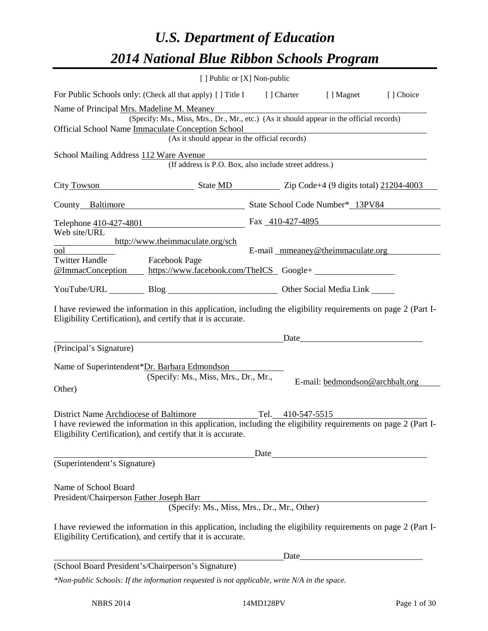# *U.S. Department of Education 2014 National Blue Ribbon Schools Program*

|                                                                                                                                       | [ ] Public or [X] Non-public                                                                                                                                                                                                               |      |      |                                   |           |  |
|---------------------------------------------------------------------------------------------------------------------------------------|--------------------------------------------------------------------------------------------------------------------------------------------------------------------------------------------------------------------------------------------|------|------|-----------------------------------|-----------|--|
|                                                                                                                                       | For Public Schools only: (Check all that apply) [] Title I [] Charter [] Magnet                                                                                                                                                            |      |      |                                   | [] Choice |  |
| Name of Principal Mrs. Madeline M. Meaney<br>(Specify: Ms., Miss, Mrs., Dr., Mr., etc.) (As it should appear in the official records) |                                                                                                                                                                                                                                            |      |      |                                   |           |  |
| Official School Name Immaculate Conception School<br>(As it should appear in the official records)                                    |                                                                                                                                                                                                                                            |      |      |                                   |           |  |
| School Mailing Address 112 Ware Avenue                                                                                                | (If address is P.O. Box, also include street address.)                                                                                                                                                                                     |      |      |                                   |           |  |
|                                                                                                                                       | City Towson State MD Zip Code+4 (9 digits total) 21204-4003                                                                                                                                                                                |      |      |                                   |           |  |
|                                                                                                                                       | County Baltimore State School Code Number* 13PV84                                                                                                                                                                                          |      |      |                                   |           |  |
|                                                                                                                                       | Telephone $410-427-4801$ Fax $410-427-4895$                                                                                                                                                                                                |      |      |                                   |           |  |
| Web site/URL<br>ool<br><b>Twitter Handle</b>                                                                                          | http://www.theimmaculate.org/sch<br>Facebook Page                                                                                                                                                                                          |      |      | E-mail _mmeaney@theimmaculate.org |           |  |
|                                                                                                                                       | @ImmacConception https://www.facebook.com/TheICS Google+                                                                                                                                                                                   |      |      |                                   |           |  |
|                                                                                                                                       | YouTube/URL Blog Blog Cher Social Media Link                                                                                                                                                                                               |      |      |                                   |           |  |
|                                                                                                                                       | I have reviewed the information in this application, including the eligibility requirements on page 2 (Part I-<br>Eligibility Certification), and certify that it is accurate.                                                             |      |      |                                   |           |  |
|                                                                                                                                       |                                                                                                                                                                                                                                            |      |      |                                   |           |  |
| (Principal's Signature)<br>Other)                                                                                                     | Name of Superintendent*Dr. Barbara Edmondson<br>(Specify: Ms., Miss, Mrs., Dr., Mr.,                                                                                                                                                       |      |      | E-mail: bedmondson@archbalt.org   |           |  |
|                                                                                                                                       | District Name Archdiocese of Baltimore Tel. 410-547-5515<br>I have reviewed the information in this application, including the eligibility requirements on page 2 (Part I-<br>Eligibility Certification), and certify that it is accurate. |      |      |                                   |           |  |
|                                                                                                                                       |                                                                                                                                                                                                                                            | Date |      |                                   |           |  |
| (Superintendent's Signature)                                                                                                          |                                                                                                                                                                                                                                            |      |      |                                   |           |  |
| Name of School Board<br>President/Chairperson Father Joseph Barr                                                                      | (Specify: Ms., Miss, Mrs., Dr., Mr., Other)                                                                                                                                                                                                |      |      |                                   |           |  |
|                                                                                                                                       | I have reviewed the information in this application, including the eligibility requirements on page 2 (Part I-<br>Eligibility Certification), and certify that it is accurate.                                                             |      |      |                                   |           |  |
|                                                                                                                                       |                                                                                                                                                                                                                                            |      | Date |                                   |           |  |
| (School Board President's/Chairperson's Signature)                                                                                    |                                                                                                                                                                                                                                            |      |      |                                   |           |  |
|                                                                                                                                       | *Non-public Schools: If the information requested is not applicable, write N/A in the space.                                                                                                                                               |      |      |                                   |           |  |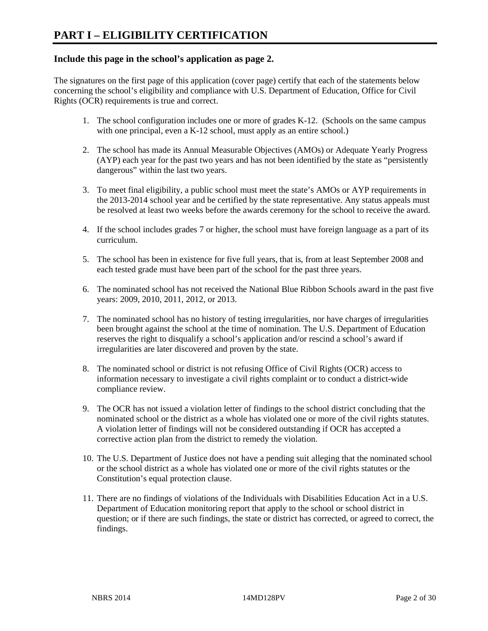# **Include this page in the school's application as page 2.**

The signatures on the first page of this application (cover page) certify that each of the statements below concerning the school's eligibility and compliance with U.S. Department of Education, Office for Civil Rights (OCR) requirements is true and correct.

- 1. The school configuration includes one or more of grades K-12. (Schools on the same campus with one principal, even a K-12 school, must apply as an entire school.)
- 2. The school has made its Annual Measurable Objectives (AMOs) or Adequate Yearly Progress (AYP) each year for the past two years and has not been identified by the state as "persistently dangerous" within the last two years.
- 3. To meet final eligibility, a public school must meet the state's AMOs or AYP requirements in the 2013-2014 school year and be certified by the state representative. Any status appeals must be resolved at least two weeks before the awards ceremony for the school to receive the award.
- 4. If the school includes grades 7 or higher, the school must have foreign language as a part of its curriculum.
- 5. The school has been in existence for five full years, that is, from at least September 2008 and each tested grade must have been part of the school for the past three years.
- 6. The nominated school has not received the National Blue Ribbon Schools award in the past five years: 2009, 2010, 2011, 2012, or 2013.
- 7. The nominated school has no history of testing irregularities, nor have charges of irregularities been brought against the school at the time of nomination. The U.S. Department of Education reserves the right to disqualify a school's application and/or rescind a school's award if irregularities are later discovered and proven by the state.
- 8. The nominated school or district is not refusing Office of Civil Rights (OCR) access to information necessary to investigate a civil rights complaint or to conduct a district-wide compliance review.
- 9. The OCR has not issued a violation letter of findings to the school district concluding that the nominated school or the district as a whole has violated one or more of the civil rights statutes. A violation letter of findings will not be considered outstanding if OCR has accepted a corrective action plan from the district to remedy the violation.
- 10. The U.S. Department of Justice does not have a pending suit alleging that the nominated school or the school district as a whole has violated one or more of the civil rights statutes or the Constitution's equal protection clause.
- 11. There are no findings of violations of the Individuals with Disabilities Education Act in a U.S. Department of Education monitoring report that apply to the school or school district in question; or if there are such findings, the state or district has corrected, or agreed to correct, the findings.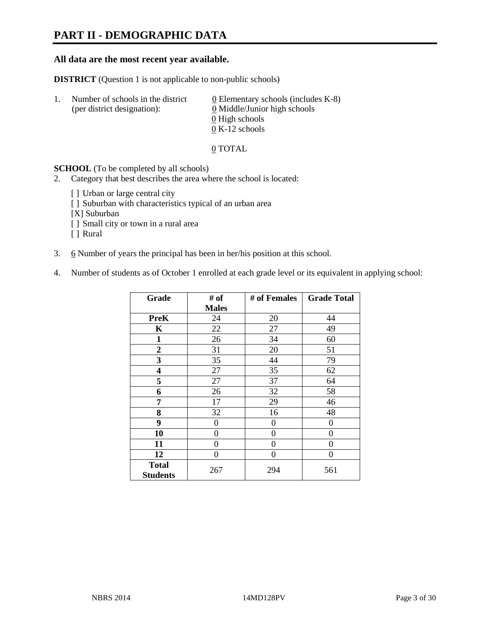# **PART II - DEMOGRAPHIC DATA**

### **All data are the most recent year available.**

**DISTRICT** (Question 1 is not applicable to non-public schools)

| -1. | Number of schools in the district<br>(per district designation): | 0 Elementary schools (includes $K-8$ )<br>0 Middle/Junior high schools |  |  |
|-----|------------------------------------------------------------------|------------------------------------------------------------------------|--|--|
|     |                                                                  | 0 High schools                                                         |  |  |
|     |                                                                  | $0 K-12$ schools                                                       |  |  |

#### 0 TOTAL

#### **SCHOOL** (To be completed by all schools)

- 2. Category that best describes the area where the school is located:
	- [] Urban or large central city
	- [] Suburban with characteristics typical of an urban area
	- [X] Suburban
	- [ ] Small city or town in a rural area
	- [ ] Rural
- 3.  $6$  Number of years the principal has been in her/his position at this school.
- 4. Number of students as of October 1 enrolled at each grade level or its equivalent in applying school:

| Grade                           | # of         | # of Females | <b>Grade Total</b> |
|---------------------------------|--------------|--------------|--------------------|
|                                 | <b>Males</b> |              |                    |
| <b>PreK</b>                     | 24           | 20           | 44                 |
| K                               | 22           | 27           | 49                 |
| $\mathbf{1}$                    | 26           | 34           | 60                 |
| $\overline{2}$                  | 31           | 20           | 51                 |
| 3                               | 35           | 44           | 79                 |
| 4                               | 27           | 35           | 62                 |
| 5                               | 27           | 37           | 64                 |
| 6                               | 26           | 32           | 58                 |
| 7                               | 17           | 29           | 46                 |
| 8                               | 32           | 16           | 48                 |
| 9                               | 0            | 0            | $\theta$           |
| 10                              | 0            | 0            | $\theta$           |
| 11                              | 0            | $\theta$     | 0                  |
| 12                              | 0            | $\theta$     | 0                  |
| <b>Total</b><br><b>Students</b> | 267          | 294          | 561                |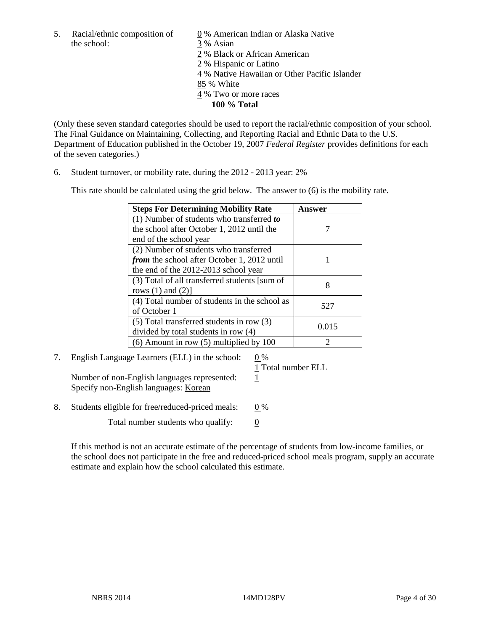5. Racial/ethnic composition of  $\qquad \qquad \underline{0}$  % American Indian or Alaska Native the school: 3 % Asian

 2 % Black or African American 2 % Hispanic or Latino 4 % Native Hawaiian or Other Pacific Islander 85 % White 4 % Two or more races **100 % Total** 

(Only these seven standard categories should be used to report the racial/ethnic composition of your school. The Final Guidance on Maintaining, Collecting, and Reporting Racial and Ethnic Data to the U.S. Department of Education published in the October 19, 2007 *Federal Register* provides definitions for each of the seven categories.)

6. Student turnover, or mobility rate, during the 2012 - 2013 year: 2%

This rate should be calculated using the grid below. The answer to (6) is the mobility rate.

| <b>Steps For Determining Mobility Rate</b>         | Answer |
|----------------------------------------------------|--------|
| (1) Number of students who transferred to          |        |
| the school after October 1, 2012 until the         |        |
| end of the school year                             |        |
| (2) Number of students who transferred             |        |
| <i>from</i> the school after October 1, 2012 until |        |
| the end of the 2012-2013 school year               |        |
| (3) Total of all transferred students [sum of      |        |
| rows $(1)$ and $(2)$ ]                             |        |
| (4) Total number of students in the school as      | 527    |
| of October 1                                       |        |
| $(5)$ Total transferred students in row $(3)$      | 0.015  |
| divided by total students in row (4)               |        |
| $(6)$ Amount in row $(5)$ multiplied by 100        | ႒      |

# 7. English Language Learners (ELL) in the school: 0 %

Number of non-English languages represented: 1 Specify non-English languages: Korean

1 Total number ELL

8. Students eligible for free/reduced-priced meals:  $0\%$ 

Total number students who qualify:  $\qquad 0$ 

If this method is not an accurate estimate of the percentage of students from low-income families, or the school does not participate in the free and reduced-priced school meals program, supply an accurate estimate and explain how the school calculated this estimate.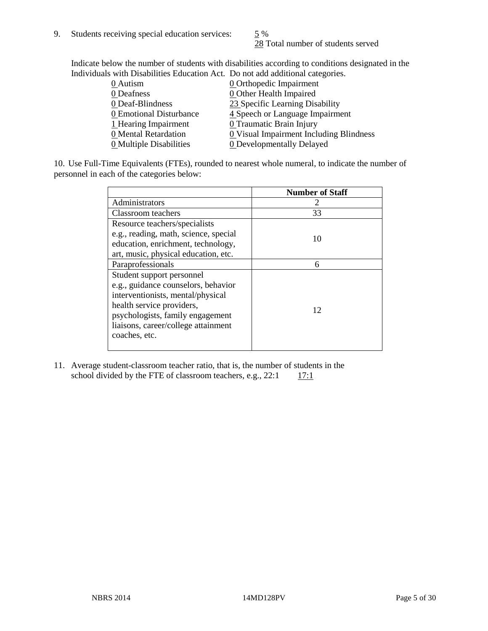28 Total number of students served

Indicate below the number of students with disabilities according to conditions designated in the Individuals with Disabilities Education Act. Do not add additional categories.

| marriaans with Disabilities Laacahon rict. Do hot aaa aaantonar categorics. |                                         |
|-----------------------------------------------------------------------------|-----------------------------------------|
| $0$ Autism                                                                  | <b>0</b> Orthopedic Impairment          |
| 0 Deafness                                                                  | 0 Other Health Impaired                 |
| 0 Deaf-Blindness                                                            | 23 Specific Learning Disability         |
| 0 Emotional Disturbance                                                     | 4 Speech or Language Impairment         |
| 1 Hearing Impairment                                                        | 0 Traumatic Brain Injury                |
| 0 Mental Retardation                                                        | 0 Visual Impairment Including Blindness |
| 0 Multiple Disabilities                                                     | <b>0</b> Developmentally Delayed        |
|                                                                             |                                         |

10. Use Full-Time Equivalents (FTEs), rounded to nearest whole numeral, to indicate the number of personnel in each of the categories below:

|                                       | <b>Number of Staff</b> |
|---------------------------------------|------------------------|
| Administrators                        |                        |
| Classroom teachers                    | 33                     |
| Resource teachers/specialists         |                        |
| e.g., reading, math, science, special | 10                     |
| education, enrichment, technology,    |                        |
| art, music, physical education, etc.  |                        |
| Paraprofessionals                     | 6                      |
| Student support personnel             |                        |
| e.g., guidance counselors, behavior   |                        |
| interventionists, mental/physical     |                        |
| health service providers,             | 12                     |
| psychologists, family engagement      |                        |
| liaisons, career/college attainment   |                        |
| coaches, etc.                         |                        |
|                                       |                        |

11. Average student-classroom teacher ratio, that is, the number of students in the school divided by the FTE of classroom teachers, e.g.,  $22:1 \qquad 17:1$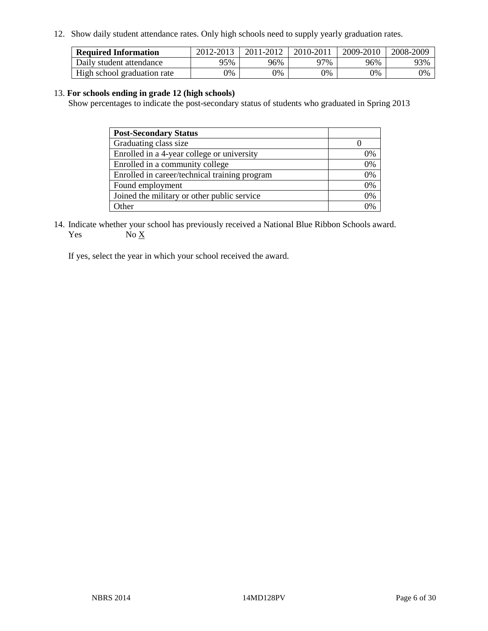12. Show daily student attendance rates. Only high schools need to supply yearly graduation rates.

| <b>Required Information</b> | 2012-2013 | 2011-2012 | 2010-2011 | 2009-2010 | 2008-2009 |
|-----------------------------|-----------|-----------|-----------|-----------|-----------|
| Daily student attendance    | 95%       | 96%       | 77%       | 96%       | 93%       |
| High school graduation rate | 0%        | 0%        | 0%        | 0%        | 0%        |

#### 13. **For schools ending in grade 12 (high schools)**

Show percentages to indicate the post-secondary status of students who graduated in Spring 2013

| <b>Post-Secondary Status</b>                  |    |
|-----------------------------------------------|----|
| Graduating class size                         |    |
| Enrolled in a 4-year college or university    | 0% |
| Enrolled in a community college               | 0% |
| Enrolled in career/technical training program | 0% |
| Found employment                              | 0% |
| Joined the military or other public service   | 0% |
| . Other                                       | 0/ |

14. Indicate whether your school has previously received a National Blue Ribbon Schools award. Yes  $No \underline{X}$ 

If yes, select the year in which your school received the award.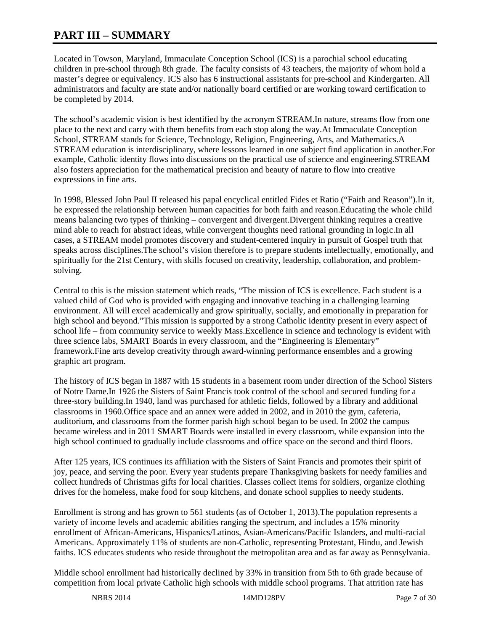# **PART III – SUMMARY**

Located in Towson, Maryland, Immaculate Conception School (ICS) is a parochial school educating children in pre-school through 8th grade. The faculty consists of 43 teachers, the majority of whom hold a master's degree or equivalency. ICS also has 6 instructional assistants for pre-school and Kindergarten. All administrators and faculty are state and/or nationally board certified or are working toward certification to be completed by 2014.

The school's academic vision is best identified by the acronym STREAM.In nature, streams flow from one place to the next and carry with them benefits from each stop along the way.At Immaculate Conception School, STREAM stands for Science, Technology, Religion, Engineering, Arts, and Mathematics.A STREAM education is interdisciplinary, where lessons learned in one subject find application in another.For example, Catholic identity flows into discussions on the practical use of science and engineering.STREAM also fosters appreciation for the mathematical precision and beauty of nature to flow into creative expressions in fine arts.

In 1998, Blessed John Paul II released his papal encyclical entitled Fides et Ratio ("Faith and Reason").In it, he expressed the relationship between human capacities for both faith and reason.Educating the whole child means balancing two types of thinking – convergent and divergent.Divergent thinking requires a creative mind able to reach for abstract ideas, while convergent thoughts need rational grounding in logic.In all cases, a STREAM model promotes discovery and student-centered inquiry in pursuit of Gospel truth that speaks across disciplines.The school's vision therefore is to prepare students intellectually, emotionally, and spiritually for the 21st Century, with skills focused on creativity, leadership, collaboration, and problemsolving.

Central to this is the mission statement which reads, "The mission of ICS is excellence. Each student is a valued child of God who is provided with engaging and innovative teaching in a challenging learning environment. All will excel academically and grow spiritually, socially, and emotionally in preparation for high school and beyond."This mission is supported by a strong Catholic identity present in every aspect of school life – from community service to weekly Mass.Excellence in science and technology is evident with three science labs, SMART Boards in every classroom, and the "Engineering is Elementary" framework.Fine arts develop creativity through award-winning performance ensembles and a growing graphic art program.

The history of ICS began in 1887 with 15 students in a basement room under direction of the School Sisters of Notre Dame.In 1926 the Sisters of Saint Francis took control of the school and secured funding for a three-story building.In 1940, land was purchased for athletic fields, followed by a library and additional classrooms in 1960.Office space and an annex were added in 2002, and in 2010 the gym, cafeteria, auditorium, and classrooms from the former parish high school began to be used. In 2002 the campus became wireless and in 2011 SMART Boards were installed in every classroom, while expansion into the high school continued to gradually include classrooms and office space on the second and third floors.

After 125 years, ICS continues its affiliation with the Sisters of Saint Francis and promotes their spirit of joy, peace, and serving the poor. Every year students prepare Thanksgiving baskets for needy families and collect hundreds of Christmas gifts for local charities. Classes collect items for soldiers, organize clothing drives for the homeless, make food for soup kitchens, and donate school supplies to needy students.

Enrollment is strong and has grown to 561 students (as of October 1, 2013).The population represents a variety of income levels and academic abilities ranging the spectrum, and includes a 15% minority enrollment of African-Americans, Hispanics/Latinos, Asian-Americans/Pacific Islanders, and multi-racial Americans. Approximately 11% of students are non-Catholic, representing Protestant, Hindu, and Jewish faiths. ICS educates students who reside throughout the metropolitan area and as far away as Pennsylvania.

Middle school enrollment had historically declined by 33% in transition from 5th to 6th grade because of competition from local private Catholic high schools with middle school programs. That attrition rate has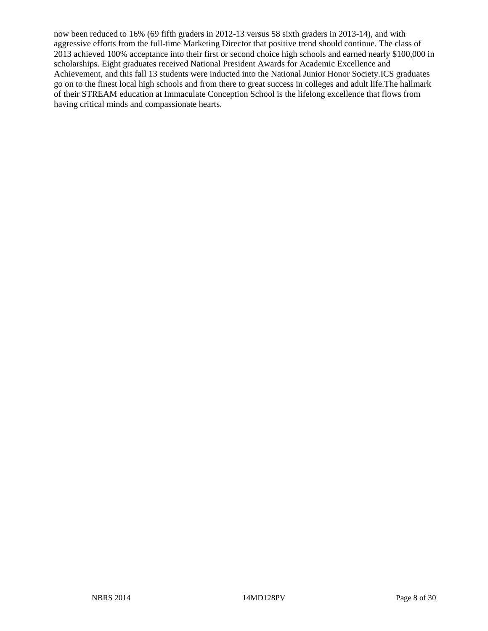now been reduced to 16% (69 fifth graders in 2012-13 versus 58 sixth graders in 2013-14), and with aggressive efforts from the full-time Marketing Director that positive trend should continue. The class of 2013 achieved 100% acceptance into their first or second choice high schools and earned nearly \$100,000 in scholarships. Eight graduates received National President Awards for Academic Excellence and Achievement, and this fall 13 students were inducted into the National Junior Honor Society.ICS graduates go on to the finest local high schools and from there to great success in colleges and adult life.The hallmark of their STREAM education at Immaculate Conception School is the lifelong excellence that flows from having critical minds and compassionate hearts.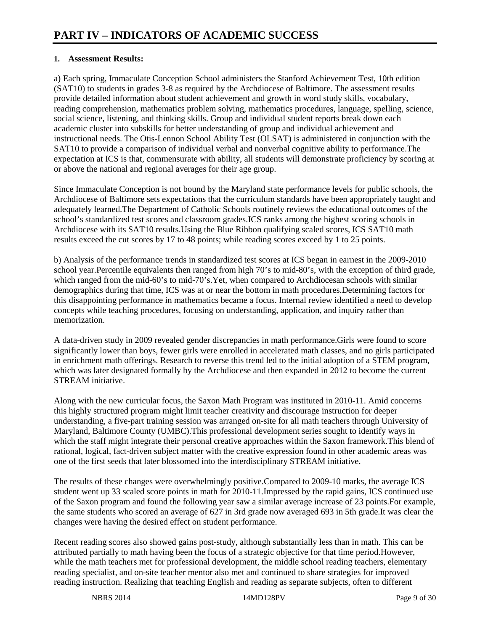### **1. Assessment Results:**

a) Each spring, Immaculate Conception School administers the Stanford Achievement Test, 10th edition (SAT10) to students in grades 3-8 as required by the Archdiocese of Baltimore. The assessment results provide detailed information about student achievement and growth in word study skills, vocabulary, reading comprehension, mathematics problem solving, mathematics procedures, language, spelling, science, social science, listening, and thinking skills. Group and individual student reports break down each academic cluster into subskills for better understanding of group and individual achievement and instructional needs. The Otis-Lennon School Ability Test (OLSAT) is administered in conjunction with the SAT10 to provide a comparison of individual verbal and nonverbal cognitive ability to performance.The expectation at ICS is that, commensurate with ability, all students will demonstrate proficiency by scoring at or above the national and regional averages for their age group.

Since Immaculate Conception is not bound by the Maryland state performance levels for public schools, the Archdiocese of Baltimore sets expectations that the curriculum standards have been appropriately taught and adequately learned.The Department of Catholic Schools routinely reviews the educational outcomes of the school's standardized test scores and classroom grades.ICS ranks among the highest scoring schools in Archdiocese with its SAT10 results.Using the Blue Ribbon qualifying scaled scores, ICS SAT10 math results exceed the cut scores by 17 to 48 points; while reading scores exceed by 1 to 25 points.

b) Analysis of the performance trends in standardized test scores at ICS began in earnest in the 2009-2010 school year.Percentile equivalents then ranged from high 70's to mid-80's, with the exception of third grade, which ranged from the mid-60's to mid-70's. Yet, when compared to Archdiocesan schools with similar demographics during that time, ICS was at or near the bottom in math procedures.Determining factors for this disappointing performance in mathematics became a focus. Internal review identified a need to develop concepts while teaching procedures, focusing on understanding, application, and inquiry rather than memorization.

A data-driven study in 2009 revealed gender discrepancies in math performance.Girls were found to score significantly lower than boys, fewer girls were enrolled in accelerated math classes, and no girls participated in enrichment math offerings. Research to reverse this trend led to the initial adoption of a STEM program, which was later designated formally by the Archdiocese and then expanded in 2012 to become the current STREAM initiative.

Along with the new curricular focus, the Saxon Math Program was instituted in 2010-11. Amid concerns this highly structured program might limit teacher creativity and discourage instruction for deeper understanding, a five-part training session was arranged on-site for all math teachers through University of Maryland, Baltimore County (UMBC). This professional development series sought to identify ways in which the staff might integrate their personal creative approaches within the Saxon framework. This blend of rational, logical, fact-driven subject matter with the creative expression found in other academic areas was one of the first seeds that later blossomed into the interdisciplinary STREAM initiative.

The results of these changes were overwhelmingly positive.Compared to 2009-10 marks, the average ICS student went up 33 scaled score points in math for 2010-11.Impressed by the rapid gains, ICS continued use of the Saxon program and found the following year saw a similar average increase of 23 points.For example, the same students who scored an average of 627 in 3rd grade now averaged 693 in 5th grade.It was clear the changes were having the desired effect on student performance.

Recent reading scores also showed gains post-study, although substantially less than in math. This can be attributed partially to math having been the focus of a strategic objective for that time period.However, while the math teachers met for professional development, the middle school reading teachers, elementary reading specialist, and on-site teacher mentor also met and continued to share strategies for improved reading instruction. Realizing that teaching English and reading as separate subjects, often to different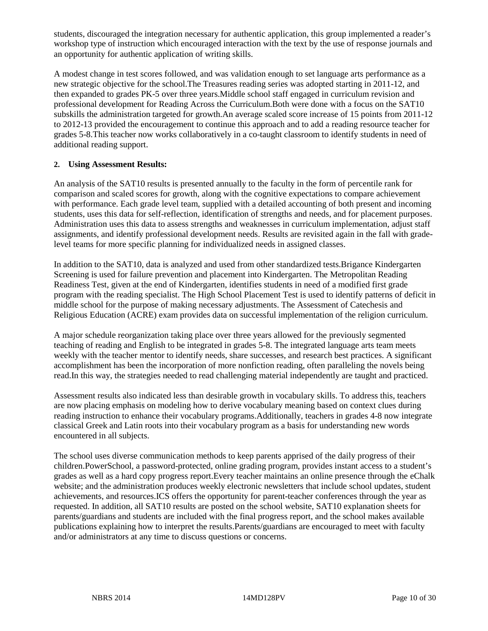students, discouraged the integration necessary for authentic application, this group implemented a reader's workshop type of instruction which encouraged interaction with the text by the use of response journals and an opportunity for authentic application of writing skills.

A modest change in test scores followed, and was validation enough to set language arts performance as a new strategic objective for the school.The Treasures reading series was adopted starting in 2011-12, and then expanded to grades PK-5 over three years.Middle school staff engaged in curriculum revision and professional development for Reading Across the Curriculum.Both were done with a focus on the SAT10 subskills the administration targeted for growth.An average scaled score increase of 15 points from 2011-12 to 2012-13 provided the encouragement to continue this approach and to add a reading resource teacher for grades 5-8.This teacher now works collaboratively in a co-taught classroom to identify students in need of additional reading support.

# **2. Using Assessment Results:**

An analysis of the SAT10 results is presented annually to the faculty in the form of percentile rank for comparison and scaled scores for growth, along with the cognitive expectations to compare achievement with performance. Each grade level team, supplied with a detailed accounting of both present and incoming students, uses this data for self-reflection, identification of strengths and needs, and for placement purposes. Administration uses this data to assess strengths and weaknesses in curriculum implementation, adjust staff assignments, and identify professional development needs. Results are revisited again in the fall with gradelevel teams for more specific planning for individualized needs in assigned classes.

In addition to the SAT10, data is analyzed and used from other standardized tests.Brigance Kindergarten Screening is used for failure prevention and placement into Kindergarten. The Metropolitan Reading Readiness Test, given at the end of Kindergarten, identifies students in need of a modified first grade program with the reading specialist. The High School Placement Test is used to identify patterns of deficit in middle school for the purpose of making necessary adjustments. The Assessment of Catechesis and Religious Education (ACRE) exam provides data on successful implementation of the religion curriculum.

A major schedule reorganization taking place over three years allowed for the previously segmented teaching of reading and English to be integrated in grades 5-8. The integrated language arts team meets weekly with the teacher mentor to identify needs, share successes, and research best practices. A significant accomplishment has been the incorporation of more nonfiction reading, often paralleling the novels being read.In this way, the strategies needed to read challenging material independently are taught and practiced.

Assessment results also indicated less than desirable growth in vocabulary skills. To address this, teachers are now placing emphasis on modeling how to derive vocabulary meaning based on context clues during reading instruction to enhance their vocabulary programs.Additionally, teachers in grades 4-8 now integrate classical Greek and Latin roots into their vocabulary program as a basis for understanding new words encountered in all subjects.

The school uses diverse communication methods to keep parents apprised of the daily progress of their children.PowerSchool, a password-protected, online grading program, provides instant access to a student's grades as well as a hard copy progress report.Every teacher maintains an online presence through the eChalk website; and the administration produces weekly electronic newsletters that include school updates, student achievements, and resources.ICS offers the opportunity for parent-teacher conferences through the year as requested. In addition, all SAT10 results are posted on the school website, SAT10 explanation sheets for parents/guardians and students are included with the final progress report, and the school makes available publications explaining how to interpret the results.Parents/guardians are encouraged to meet with faculty and/or administrators at any time to discuss questions or concerns.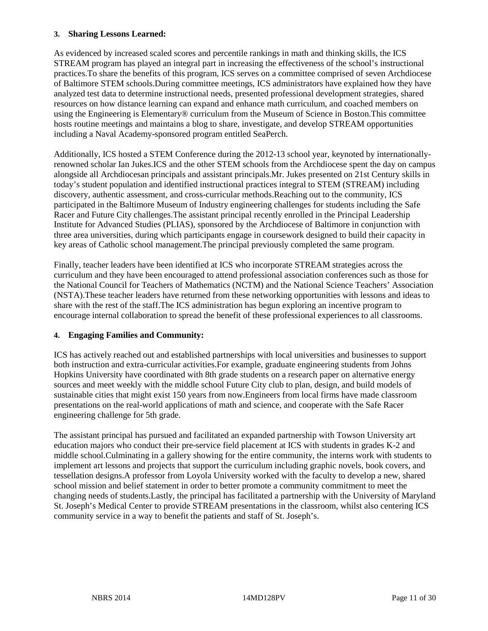#### **3. Sharing Lessons Learned:**

As evidenced by increased scaled scores and percentile rankings in math and thinking skills, the ICS STREAM program has played an integral part in increasing the effectiveness of the school's instructional practices.To share the benefits of this program, ICS serves on a committee comprised of seven Archdiocese of Baltimore STEM schools.During committee meetings, ICS administrators have explained how they have analyzed test data to determine instructional needs, presented professional development strategies, shared resources on how distance learning can expand and enhance math curriculum, and coached members on using the Engineering is Elementary® curriculum from the Museum of Science in Boston.This committee hosts routine meetings and maintains a blog to share, investigate, and develop STREAM opportunities including a Naval Academy-sponsored program entitled SeaPerch.

Additionally, ICS hosted a STEM Conference during the 2012-13 school year, keynoted by internationallyrenowned scholar Ian Jukes.ICS and the other STEM schools from the Archdiocese spent the day on campus alongside all Archdiocesan principals and assistant principals.Mr. Jukes presented on 21st Century skills in today's student population and identified instructional practices integral to STEM (STREAM) including discovery, authentic assessment, and cross-curricular methods.Reaching out to the community, ICS participated in the Baltimore Museum of Industry engineering challenges for students including the Safe Racer and Future City challenges.The assistant principal recently enrolled in the Principal Leadership Institute for Advanced Studies (PLIAS), sponsored by the Archdiocese of Baltimore in conjunction with three area universities, during which participants engage in coursework designed to build their capacity in key areas of Catholic school management.The principal previously completed the same program.

Finally, teacher leaders have been identified at ICS who incorporate STREAM strategies across the curriculum and they have been encouraged to attend professional association conferences such as those for the National Council for Teachers of Mathematics (NCTM) and the National Science Teachers' Association (NSTA).These teacher leaders have returned from these networking opportunities with lessons and ideas to share with the rest of the staff.The ICS administration has begun exploring an incentive program to encourage internal collaboration to spread the benefit of these professional experiences to all classrooms.

# **4. Engaging Families and Community:**

ICS has actively reached out and established partnerships with local universities and businesses to support both instruction and extra-curricular activities.For example, graduate engineering students from Johns Hopkins University have coordinated with 8th grade students on a research paper on alternative energy sources and meet weekly with the middle school Future City club to plan, design, and build models of sustainable cities that might exist 150 years from now.Engineers from local firms have made classroom presentations on the real-world applications of math and science, and cooperate with the Safe Racer engineering challenge for 5th grade.

The assistant principal has pursued and facilitated an expanded partnership with Towson University art education majors who conduct their pre-service field placement at ICS with students in grades K-2 and middle school.Culminating in a gallery showing for the entire community, the interns work with students to implement art lessons and projects that support the curriculum including graphic novels, book covers, and tessellation designs.A professor from Loyola University worked with the faculty to develop a new, shared school mission and belief statement in order to better promote a community commitment to meet the changing needs of students.Lastly, the principal has facilitated a partnership with the University of Maryland St. Joseph's Medical Center to provide STREAM presentations in the classroom, whilst also centering ICS community service in a way to benefit the patients and staff of St. Joseph's.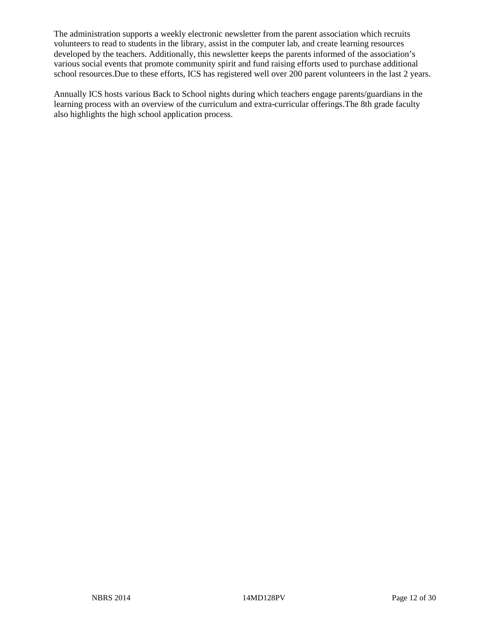The administration supports a weekly electronic newsletter from the parent association which recruits volunteers to read to students in the library, assist in the computer lab, and create learning resources developed by the teachers. Additionally, this newsletter keeps the parents informed of the association's various social events that promote community spirit and fund raising efforts used to purchase additional school resources.Due to these efforts, ICS has registered well over 200 parent volunteers in the last 2 years.

Annually ICS hosts various Back to School nights during which teachers engage parents/guardians in the learning process with an overview of the curriculum and extra-curricular offerings.The 8th grade faculty also highlights the high school application process.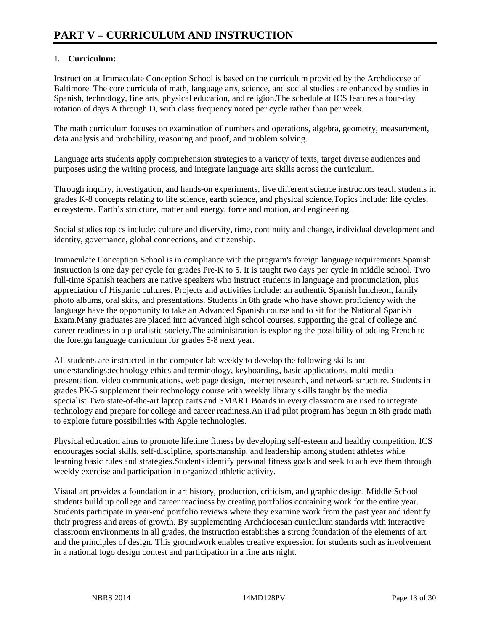# **1. Curriculum:**

Instruction at Immaculate Conception School is based on the curriculum provided by the Archdiocese of Baltimore. The core curricula of math, language arts, science, and social studies are enhanced by studies in Spanish, technology, fine arts, physical education, and religion.The schedule at ICS features a four-day rotation of days A through D, with class frequency noted per cycle rather than per week.

The math curriculum focuses on examination of numbers and operations, algebra, geometry, measurement, data analysis and probability, reasoning and proof, and problem solving.

Language arts students apply comprehension strategies to a variety of texts, target diverse audiences and purposes using the writing process, and integrate language arts skills across the curriculum.

Through inquiry, investigation, and hands-on experiments, five different science instructors teach students in grades K-8 concepts relating to life science, earth science, and physical science.Topics include: life cycles, ecosystems, Earth's structure, matter and energy, force and motion, and engineering.

Social studies topics include: culture and diversity, time, continuity and change, individual development and identity, governance, global connections, and citizenship.

Immaculate Conception School is in compliance with the program's foreign language requirements.Spanish instruction is one day per cycle for grades Pre-K to 5. It is taught two days per cycle in middle school. Two full-time Spanish teachers are native speakers who instruct students in language and pronunciation, plus appreciation of Hispanic cultures. Projects and activities include: an authentic Spanish luncheon, family photo albums, oral skits, and presentations. Students in 8th grade who have shown proficiency with the language have the opportunity to take an Advanced Spanish course and to sit for the National Spanish Exam.Many graduates are placed into advanced high school courses, supporting the goal of college and career readiness in a pluralistic society.The administration is exploring the possibility of adding French to the foreign language curriculum for grades 5-8 next year.

All students are instructed in the computer lab weekly to develop the following skills and understandings:technology ethics and terminology, keyboarding, basic applications, multi-media presentation, video communications, web page design, internet research, and network structure. Students in grades PK-5 supplement their technology course with weekly library skills taught by the media specialist.Two state-of-the-art laptop carts and SMART Boards in every classroom are used to integrate technology and prepare for college and career readiness.An iPad pilot program has begun in 8th grade math to explore future possibilities with Apple technologies.

Physical education aims to promote lifetime fitness by developing self-esteem and healthy competition. ICS encourages social skills, self-discipline, sportsmanship, and leadership among student athletes while learning basic rules and strategies.Students identify personal fitness goals and seek to achieve them through weekly exercise and participation in organized athletic activity.

Visual art provides a foundation in art history, production, criticism, and graphic design. Middle School students build up college and career readiness by creating portfolios containing work for the entire year. Students participate in year-end portfolio reviews where they examine work from the past year and identify their progress and areas of growth. By supplementing Archdiocesan curriculum standards with interactive classroom environments in all grades, the instruction establishes a strong foundation of the elements of art and the principles of design. This groundwork enables creative expression for students such as involvement in a national logo design contest and participation in a fine arts night.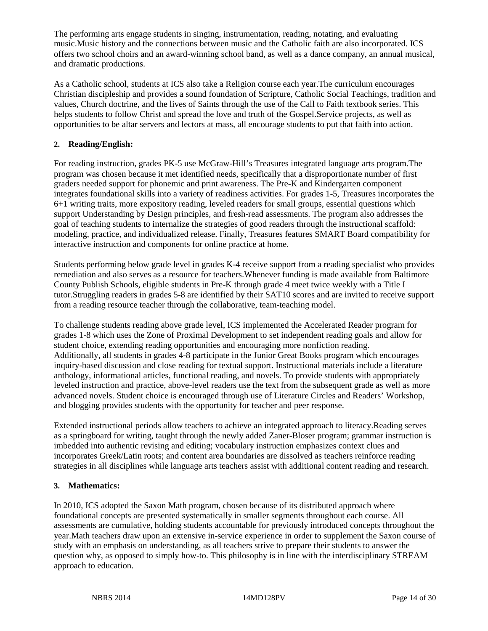The performing arts engage students in singing, instrumentation, reading, notating, and evaluating music.Music history and the connections between music and the Catholic faith are also incorporated. ICS offers two school choirs and an award-winning school band, as well as a dance company, an annual musical, and dramatic productions.

As a Catholic school, students at ICS also take a Religion course each year.The curriculum encourages Christian discipleship and provides a sound foundation of Scripture, Catholic Social Teachings, tradition and values, Church doctrine, and the lives of Saints through the use of the Call to Faith textbook series. This helps students to follow Christ and spread the love and truth of the Gospel.Service projects, as well as opportunities to be altar servers and lectors at mass, all encourage students to put that faith into action.

# **2. Reading/English:**

For reading instruction, grades PK-5 use McGraw-Hill's Treasures integrated language arts program.The program was chosen because it met identified needs, specifically that a disproportionate number of first graders needed support for phonemic and print awareness. The Pre-K and Kindergarten component integrates foundational skills into a variety of readiness activities. For grades 1-5, Treasures incorporates the 6+1 writing traits, more expository reading, leveled readers for small groups, essential questions which support Understanding by Design principles, and fresh-read assessments. The program also addresses the goal of teaching students to internalize the strategies of good readers through the instructional scaffold: modeling, practice, and individualized release. Finally, Treasures features SMART Board compatibility for interactive instruction and components for online practice at home.

Students performing below grade level in grades K-4 receive support from a reading specialist who provides remediation and also serves as a resource for teachers.Whenever funding is made available from Baltimore County Publish Schools, eligible students in Pre-K through grade 4 meet twice weekly with a Title I tutor.Struggling readers in grades 5-8 are identified by their SAT10 scores and are invited to receive support from a reading resource teacher through the collaborative, team-teaching model.

To challenge students reading above grade level, ICS implemented the Accelerated Reader program for grades 1-8 which uses the Zone of Proximal Development to set independent reading goals and allow for student choice, extending reading opportunities and encouraging more nonfiction reading. Additionally, all students in grades 4-8 participate in the Junior Great Books program which encourages inquiry-based discussion and close reading for textual support. Instructional materials include a literature anthology, informational articles, functional reading, and novels. To provide students with appropriately leveled instruction and practice, above-level readers use the text from the subsequent grade as well as more advanced novels. Student choice is encouraged through use of Literature Circles and Readers' Workshop, and blogging provides students with the opportunity for teacher and peer response.

Extended instructional periods allow teachers to achieve an integrated approach to literacy.Reading serves as a springboard for writing, taught through the newly added Zaner-Bloser program; grammar instruction is imbedded into authentic revising and editing; vocabulary instruction emphasizes context clues and incorporates Greek/Latin roots; and content area boundaries are dissolved as teachers reinforce reading strategies in all disciplines while language arts teachers assist with additional content reading and research.

# **3. Mathematics:**

In 2010, ICS adopted the Saxon Math program, chosen because of its distributed approach where foundational concepts are presented systematically in smaller segments throughout each course. All assessments are cumulative, holding students accountable for previously introduced concepts throughout the year.Math teachers draw upon an extensive in-service experience in order to supplement the Saxon course of study with an emphasis on understanding, as all teachers strive to prepare their students to answer the question why, as opposed to simply how-to. This philosophy is in line with the interdisciplinary STREAM approach to education.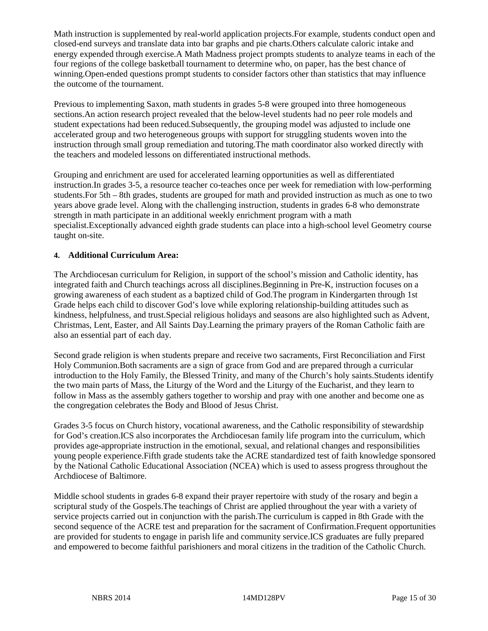Math instruction is supplemented by real-world application projects.For example, students conduct open and closed-end surveys and translate data into bar graphs and pie charts.Others calculate caloric intake and energy expended through exercise.A Math Madness project prompts students to analyze teams in each of the four regions of the college basketball tournament to determine who, on paper, has the best chance of winning.Open-ended questions prompt students to consider factors other than statistics that may influence the outcome of the tournament.

Previous to implementing Saxon, math students in grades 5-8 were grouped into three homogeneous sections.An action research project revealed that the below-level students had no peer role models and student expectations had been reduced.Subsequently, the grouping model was adjusted to include one accelerated group and two heterogeneous groups with support for struggling students woven into the instruction through small group remediation and tutoring.The math coordinator also worked directly with the teachers and modeled lessons on differentiated instructional methods.

Grouping and enrichment are used for accelerated learning opportunities as well as differentiated instruction.In grades 3-5, a resource teacher co-teaches once per week for remediation with low-performing students.For 5th – 8th grades, students are grouped for math and provided instruction as much as one to two years above grade level. Along with the challenging instruction, students in grades 6-8 who demonstrate strength in math participate in an additional weekly enrichment program with a math specialist.Exceptionally advanced eighth grade students can place into a high-school level Geometry course taught on-site.

### **4. Additional Curriculum Area:**

The Archdiocesan curriculum for Religion, in support of the school's mission and Catholic identity, has integrated faith and Church teachings across all disciplines.Beginning in Pre-K, instruction focuses on a growing awareness of each student as a baptized child of God.The program in Kindergarten through 1st Grade helps each child to discover God's love while exploring relationship-building attitudes such as kindness, helpfulness, and trust.Special religious holidays and seasons are also highlighted such as Advent, Christmas, Lent, Easter, and All Saints Day.Learning the primary prayers of the Roman Catholic faith are also an essential part of each day.

Second grade religion is when students prepare and receive two sacraments, First Reconciliation and First Holy Communion.Both sacraments are a sign of grace from God and are prepared through a curricular introduction to the Holy Family, the Blessed Trinity, and many of the Church's holy saints.Students identify the two main parts of Mass, the Liturgy of the Word and the Liturgy of the Eucharist, and they learn to follow in Mass as the assembly gathers together to worship and pray with one another and become one as the congregation celebrates the Body and Blood of Jesus Christ.

Grades 3-5 focus on Church history, vocational awareness, and the Catholic responsibility of stewardship for God's creation.ICS also incorporates the Archdiocesan family life program into the curriculum, which provides age-appropriate instruction in the emotional, sexual, and relational changes and responsibilities young people experience.Fifth grade students take the ACRE standardized test of faith knowledge sponsored by the National Catholic Educational Association (NCEA) which is used to assess progress throughout the Archdiocese of Baltimore.

Middle school students in grades 6-8 expand their prayer repertoire with study of the rosary and begin a scriptural study of the Gospels.The teachings of Christ are applied throughout the year with a variety of service projects carried out in conjunction with the parish.The curriculum is capped in 8th Grade with the second sequence of the ACRE test and preparation for the sacrament of Confirmation.Frequent opportunities are provided for students to engage in parish life and community service.ICS graduates are fully prepared and empowered to become faithful parishioners and moral citizens in the tradition of the Catholic Church.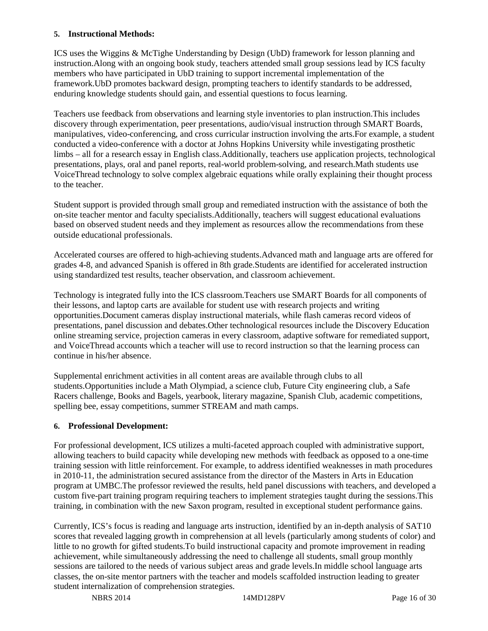#### **5. Instructional Methods:**

ICS uses the Wiggins & McTighe Understanding by Design (UbD) framework for lesson planning and instruction.Along with an ongoing book study, teachers attended small group sessions lead by ICS faculty members who have participated in UbD training to support incremental implementation of the framework.UbD promotes backward design, prompting teachers to identify standards to be addressed, enduring knowledge students should gain, and essential questions to focus learning.

Teachers use feedback from observations and learning style inventories to plan instruction.This includes discovery through experimentation, peer presentations, audio/visual instruction through SMART Boards, manipulatives, video-conferencing, and cross curricular instruction involving the arts.For example, a student conducted a video-conference with a doctor at Johns Hopkins University while investigating prosthetic limbs – all for a research essay in English class.Additionally, teachers use application projects, technological presentations, plays, oral and panel reports, real-world problem-solving, and research.Math students use VoiceThread technology to solve complex algebraic equations while orally explaining their thought process to the teacher.

Student support is provided through small group and remediated instruction with the assistance of both the on-site teacher mentor and faculty specialists.Additionally, teachers will suggest educational evaluations based on observed student needs and they implement as resources allow the recommendations from these outside educational professionals.

Accelerated courses are offered to high-achieving students.Advanced math and language arts are offered for grades 4-8, and advanced Spanish is offered in 8th grade.Students are identified for accelerated instruction using standardized test results, teacher observation, and classroom achievement.

Technology is integrated fully into the ICS classroom.Teachers use SMART Boards for all components of their lessons, and laptop carts are available for student use with research projects and writing opportunities.Document cameras display instructional materials, while flash cameras record videos of presentations, panel discussion and debates.Other technological resources include the Discovery Education online streaming service, projection cameras in every classroom, adaptive software for remediated support, and VoiceThread accounts which a teacher will use to record instruction so that the learning process can continue in his/her absence.

Supplemental enrichment activities in all content areas are available through clubs to all students.Opportunities include a Math Olympiad, a science club, Future City engineering club, a Safe Racers challenge, Books and Bagels, yearbook, literary magazine, Spanish Club, academic competitions, spelling bee, essay competitions, summer STREAM and math camps.

# **6. Professional Development:**

For professional development, ICS utilizes a multi-faceted approach coupled with administrative support, allowing teachers to build capacity while developing new methods with feedback as opposed to a one-time training session with little reinforcement. For example, to address identified weaknesses in math procedures in 2010-11, the administration secured assistance from the director of the Masters in Arts in Education program at UMBC.The professor reviewed the results, held panel discussions with teachers, and developed a custom five-part training program requiring teachers to implement strategies taught during the sessions.This training, in combination with the new Saxon program, resulted in exceptional student performance gains.

Currently, ICS's focus is reading and language arts instruction, identified by an in-depth analysis of SAT10 scores that revealed lagging growth in comprehension at all levels (particularly among students of color) and little to no growth for gifted students.To build instructional capacity and promote improvement in reading achievement, while simultaneously addressing the need to challenge all students, small group monthly sessions are tailored to the needs of various subject areas and grade levels.In middle school language arts classes, the on-site mentor partners with the teacher and models scaffolded instruction leading to greater student internalization of comprehension strategies.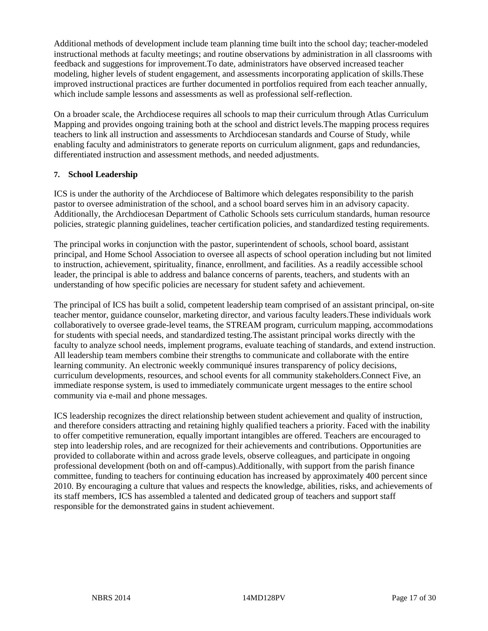Additional methods of development include team planning time built into the school day; teacher-modeled instructional methods at faculty meetings; and routine observations by administration in all classrooms with feedback and suggestions for improvement.To date, administrators have observed increased teacher modeling, higher levels of student engagement, and assessments incorporating application of skills.These improved instructional practices are further documented in portfolios required from each teacher annually, which include sample lessons and assessments as well as professional self-reflection.

On a broader scale, the Archdiocese requires all schools to map their curriculum through Atlas Curriculum Mapping and provides ongoing training both at the school and district levels.The mapping process requires teachers to link all instruction and assessments to Archdiocesan standards and Course of Study, while enabling faculty and administrators to generate reports on curriculum alignment, gaps and redundancies, differentiated instruction and assessment methods, and needed adjustments.

### **7. School Leadership**

ICS is under the authority of the Archdiocese of Baltimore which delegates responsibility to the parish pastor to oversee administration of the school, and a school board serves him in an advisory capacity. Additionally, the Archdiocesan Department of Catholic Schools sets curriculum standards, human resource policies, strategic planning guidelines, teacher certification policies, and standardized testing requirements.

The principal works in conjunction with the pastor, superintendent of schools, school board, assistant principal, and Home School Association to oversee all aspects of school operation including but not limited to instruction, achievement, spirituality, finance, enrollment, and facilities. As a readily accessible school leader, the principal is able to address and balance concerns of parents, teachers, and students with an understanding of how specific policies are necessary for student safety and achievement.

The principal of ICS has built a solid, competent leadership team comprised of an assistant principal, on-site teacher mentor, guidance counselor, marketing director, and various faculty leaders.These individuals work collaboratively to oversee grade-level teams, the STREAM program, curriculum mapping, accommodations for students with special needs, and standardized testing.The assistant principal works directly with the faculty to analyze school needs, implement programs, evaluate teaching of standards, and extend instruction. All leadership team members combine their strengths to communicate and collaborate with the entire learning community. An electronic weekly communiqué insures transparency of policy decisions, curriculum developments, resources, and school events for all community stakeholders.Connect Five, an immediate response system, is used to immediately communicate urgent messages to the entire school community via e-mail and phone messages.

ICS leadership recognizes the direct relationship between student achievement and quality of instruction, and therefore considers attracting and retaining highly qualified teachers a priority. Faced with the inability to offer competitive remuneration, equally important intangibles are offered. Teachers are encouraged to step into leadership roles, and are recognized for their achievements and contributions. Opportunities are provided to collaborate within and across grade levels, observe colleagues, and participate in ongoing professional development (both on and off-campus).Additionally, with support from the parish finance committee, funding to teachers for continuing education has increased by approximately 400 percent since 2010. By encouraging a culture that values and respects the knowledge, abilities, risks, and achievements of its staff members, ICS has assembled a talented and dedicated group of teachers and support staff responsible for the demonstrated gains in student achievement.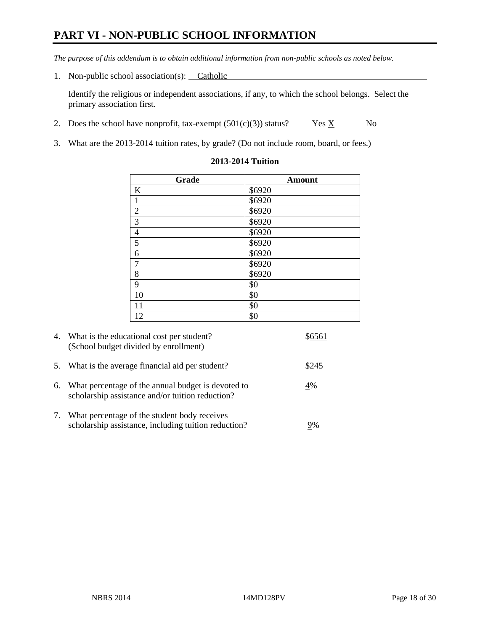# **PART VI - NON-PUBLIC SCHOOL INFORMATION**

*The purpose of this addendum is to obtain additional information from non-public schools as noted below.* 

1. Non-public school association(s): Catholic

Identify the religious or independent associations, if any, to which the school belongs. Select the primary association first.

- 2. Does the school have nonprofit, tax-exempt  $(501(c)(3))$  status? Yes  $\underline{X}$  No
- 3. What are the 2013-2014 tuition rates, by grade? (Do not include room, board, or fees.)

| Grade          | <b>Amount</b> |
|----------------|---------------|
| $\bf K$        | \$6920        |
| $\mathbf{1}$   | \$6920        |
| $\overline{2}$ | \$6920        |
| 3              | \$6920        |
| $\overline{4}$ | \$6920        |
| $\overline{5}$ | \$6920        |
| 6              | \$6920        |
| $\overline{7}$ | \$6920        |
| 8              | \$6920        |
| 9              | \$0           |
| 10             | \$0           |
| 11             | \$0           |
| 12             | \$0           |

#### **2013-2014 Tuition**

| 4. | What is the educational cost per student?<br>(School budget divided by enrollment)                     |       |
|----|--------------------------------------------------------------------------------------------------------|-------|
| 5. | What is the average financial aid per student?                                                         | \$245 |
| 6. | What percentage of the annual budget is devoted to<br>scholarship assistance and/or tuition reduction? | 4%    |
|    | What percentage of the student body receives<br>scholarship assistance, including tuition reduction?   | 9%    |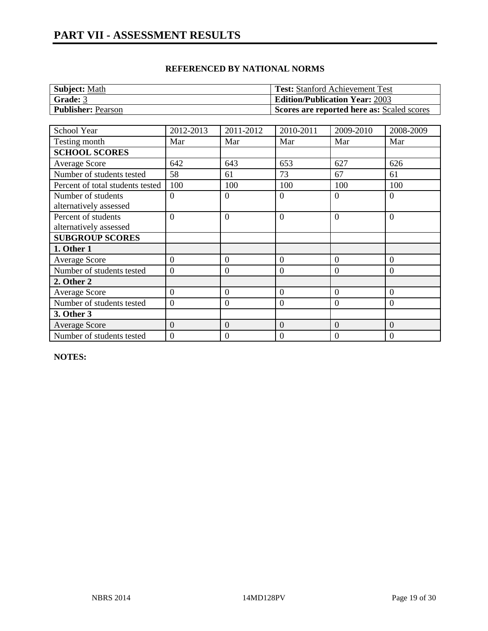| <b>Subject: Math</b>      | <b>Test:</b> Stanford Achievement Test     |
|---------------------------|--------------------------------------------|
| <b>Grade: 3</b>           | <b>Edition/Publication Year: 2003</b>      |
| <b>Publisher: Pearson</b> | Scores are reported here as: Scaled scores |

| <b>School Year</b>               | 2012-2013      | 2011-2012        | 2010-2011        | 2009-2010      | 2008-2009      |
|----------------------------------|----------------|------------------|------------------|----------------|----------------|
| Testing month                    | Mar            | Mar              | Mar              | Mar            | Mar            |
| <b>SCHOOL SCORES</b>             |                |                  |                  |                |                |
| <b>Average Score</b>             | 642            | 643              | 653              | 627            | 626            |
| Number of students tested        | 58             | 61               | 73               | 67             | 61             |
| Percent of total students tested | 100            | 100              | 100              | 100            | 100            |
| Number of students               | $\overline{0}$ | $\Omega$         | $\overline{0}$   | $\Omega$       | $\overline{0}$ |
| alternatively assessed           |                |                  |                  |                |                |
| Percent of students              | $\Omega$       | $\Omega$         | $\overline{0}$   | $\theta$       | $\overline{0}$ |
| alternatively assessed           |                |                  |                  |                |                |
| <b>SUBGROUP SCORES</b>           |                |                  |                  |                |                |
| 1. Other 1                       |                |                  |                  |                |                |
| Average Score                    | $\overline{0}$ | $\overline{0}$   | $\overline{0}$   | $\Omega$       | $\overline{0}$ |
| Number of students tested        | $\overline{0}$ | $\overline{0}$   | $\overline{0}$   | $\Omega$       | $\overline{0}$ |
| 2. Other 2                       |                |                  |                  |                |                |
| <b>Average Score</b>             | $\Omega$       | $\overline{0}$   | $\overline{0}$   | $\Omega$       | $\overline{0}$ |
| Number of students tested        | $\theta$       | $\overline{0}$   | $\theta$         | $\overline{0}$ | $\overline{0}$ |
| 3. Other 3                       |                |                  |                  |                |                |
| <b>Average Score</b>             | $\overline{0}$ | $\overline{0}$   | $\overline{0}$   | $\theta$       | $\overline{0}$ |
| Number of students tested        | $\mathbf{0}$   | $\boldsymbol{0}$ | $\boldsymbol{0}$ | $\Omega$       | 0              |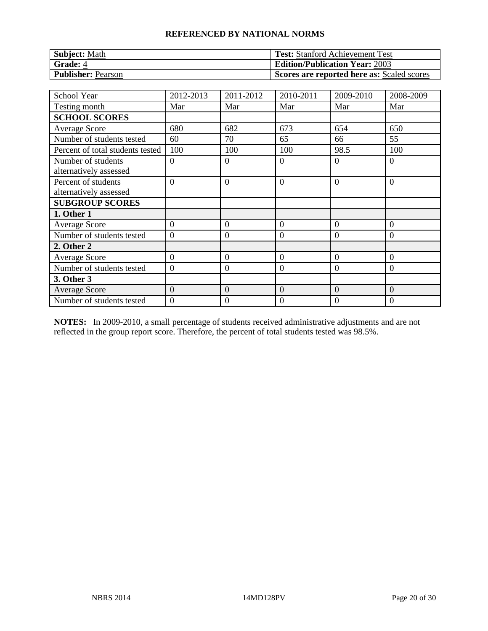| <b>Subject: Math</b>      | <b>Test:</b> Stanford Achievement Test     |
|---------------------------|--------------------------------------------|
| Grade: 4                  | <b>Edition/Publication Year: 2003</b>      |
| <b>Publisher: Pearson</b> | Scores are reported here as: Scaled scores |

| <b>School Year</b>               | 2012-2013      | 2011-2012        | 2010-2011        | 2009-2010      | 2008-2009      |
|----------------------------------|----------------|------------------|------------------|----------------|----------------|
| Testing month                    | Mar            | Mar              | Mar              | Mar            | Mar            |
| <b>SCHOOL SCORES</b>             |                |                  |                  |                |                |
| <b>Average Score</b>             | 680            | 682              | 673              | 654            | 650            |
| Number of students tested        | 60             | 70               | 65               | 66             | 55             |
| Percent of total students tested | 100            | 100              | 100              | 98.5           | 100            |
| Number of students               | $\theta$       | $\overline{0}$   | $\overline{0}$   | $\Omega$       | $\overline{0}$ |
| alternatively assessed           |                |                  |                  |                |                |
| Percent of students              | $\overline{0}$ | $\overline{0}$   | $\overline{0}$   | $\Omega$       | $\overline{0}$ |
| alternatively assessed           |                |                  |                  |                |                |
| <b>SUBGROUP SCORES</b>           |                |                  |                  |                |                |
| 1. Other 1                       |                |                  |                  |                |                |
| <b>Average Score</b>             | $\theta$       | $\boldsymbol{0}$ | $\mathbf{0}$     | $\Omega$       | $\overline{0}$ |
| Number of students tested        | $\theta$       | $\overline{0}$   | $\overline{0}$   | $\Omega$       | $\Omega$       |
| 2. Other 2                       |                |                  |                  |                |                |
| <b>Average Score</b>             | $\overline{0}$ | $\overline{0}$   | $\theta$         | $\theta$       | $\overline{0}$ |
| Number of students tested        | $\overline{0}$ | $\boldsymbol{0}$ | $\mathbf{0}$     | $\theta$       | $\overline{0}$ |
| 3. Other 3                       |                |                  |                  |                |                |
| <b>Average Score</b>             | $\overline{0}$ | $\overline{0}$   | $\overline{0}$   | $\overline{0}$ | $\overline{0}$ |
| Number of students tested        | $\theta$       | 0                | $\boldsymbol{0}$ | 0              | 0              |

**NOTES:** In 2009-2010, a small percentage of students received administrative adjustments and are not reflected in the group report score. Therefore, the percent of total students tested was 98.5%.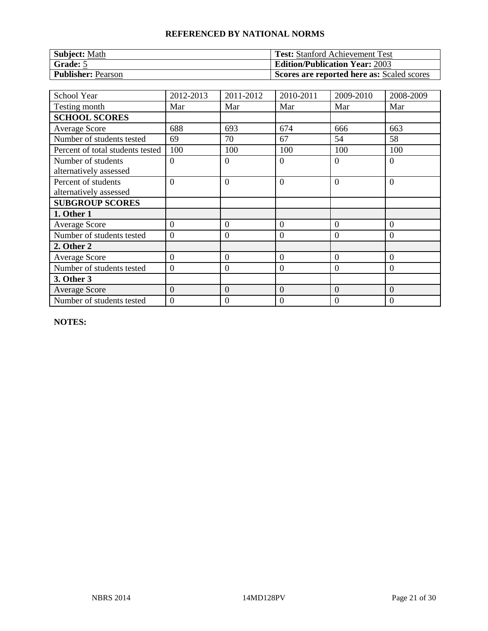| <b>Subject: Math</b>      | <b>Test:</b> Stanford Achievement Test     |
|---------------------------|--------------------------------------------|
| Grade: 5                  | <b>Edition/Publication Year: 2003</b>      |
| <b>Publisher: Pearson</b> | Scores are reported here as: Scaled scores |

| <b>School Year</b>               | 2012-2013        | 2011-2012        | 2010-2011      | 2009-2010      | 2008-2009      |
|----------------------------------|------------------|------------------|----------------|----------------|----------------|
| Testing month                    | Mar              | Mar              | Mar            | Mar            | Mar            |
| <b>SCHOOL SCORES</b>             |                  |                  |                |                |                |
| Average Score                    | 688              | 693              | 674            | 666            | 663            |
| Number of students tested        | 69               | 70               | 67             | 54             | 58             |
| Percent of total students tested | 100              | 100              | 100            | 100            | 100            |
| Number of students               | $\Omega$         | $\overline{0}$   | $\overline{0}$ | $\Omega$       | $\Omega$       |
| alternatively assessed           |                  |                  |                |                |                |
| Percent of students              | $\theta$         | $\overline{0}$   | $\overline{0}$ | $\Omega$       | $\overline{0}$ |
| alternatively assessed           |                  |                  |                |                |                |
| <b>SUBGROUP SCORES</b>           |                  |                  |                |                |                |
| 1. Other 1                       |                  |                  |                |                |                |
| <b>Average Score</b>             | $\theta$         | $\mathbf{0}$     | $\mathbf{0}$   | $\Omega$       | $\overline{0}$ |
| Number of students tested        | $\overline{0}$   | $\boldsymbol{0}$ | $\mathbf{0}$   | $\Omega$       | $\overline{0}$ |
| 2. Other 2                       |                  |                  |                |                |                |
| <b>Average Score</b>             | $\boldsymbol{0}$ | $\boldsymbol{0}$ | $\mathbf{0}$   | $\overline{0}$ | $\overline{0}$ |
| Number of students tested        | $\overline{0}$   | $\boldsymbol{0}$ | $\mathbf{0}$   | $\overline{0}$ | $\overline{0}$ |
| 3. Other 3                       |                  |                  |                |                |                |
| <b>Average Score</b>             | $\overline{0}$   | $\overline{0}$   | $\overline{0}$ | $\theta$       | $\overline{0}$ |
| Number of students tested        | $\overline{0}$   | 0                | $\mathbf{0}$   | 0              | $\theta$       |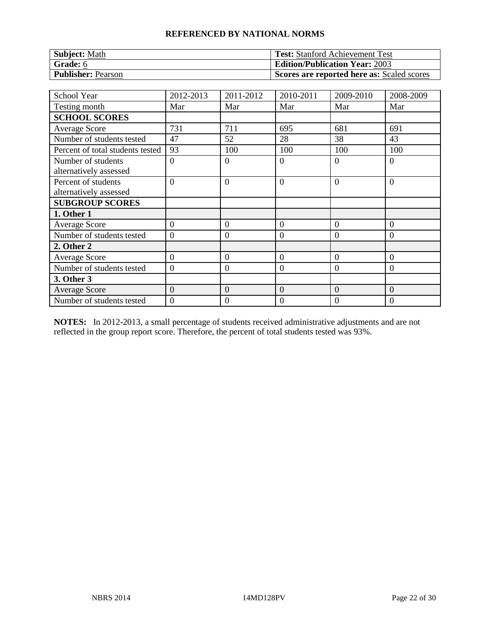| <b>Subject: Math</b>      | <b>Test:</b> Stanford Achievement Test     |
|---------------------------|--------------------------------------------|
| Grade: 6                  | <b>Edition/Publication Year: 2003</b>      |
| <b>Publisher: Pearson</b> | Scores are reported here as: Scaled scores |

| <b>School Year</b>               | 2012-2013        | 2011-2012        | 2010-2011        | 2009-2010      | 2008-2009      |
|----------------------------------|------------------|------------------|------------------|----------------|----------------|
| Testing month                    | Mar              | Mar              | Mar              | Mar            | Mar            |
| <b>SCHOOL SCORES</b>             |                  |                  |                  |                |                |
| <b>Average Score</b>             | 731              | 711              | 695              | 681            | 691            |
| Number of students tested        | 47               | 52               | 28               | 38             | 43             |
| Percent of total students tested | 93               | 100              | 100              | 100            | 100            |
| Number of students               | $\overline{0}$   | $\overline{0}$   | $\overline{0}$   | $\Omega$       | $\overline{0}$ |
| alternatively assessed           |                  |                  |                  |                |                |
| Percent of students              | $\overline{0}$   | $\overline{0}$   | $\overline{0}$   | $\Omega$       | $\overline{0}$ |
| alternatively assessed           |                  |                  |                  |                |                |
| <b>SUBGROUP SCORES</b>           |                  |                  |                  |                |                |
| 1. Other 1                       |                  |                  |                  |                |                |
| <b>Average Score</b>             | $\overline{0}$   | $\theta$         | $\overline{0}$   | $\theta$       | $\overline{0}$ |
| Number of students tested        | $\overline{0}$   | $\overline{0}$   | $\overline{0}$   | $\Omega$       | $\overline{0}$ |
| 2. Other 2                       |                  |                  |                  |                |                |
| Average Score                    | $\overline{0}$   | $\overline{0}$   | $\overline{0}$   | $\overline{0}$ | $\overline{0}$ |
| Number of students tested        | $\boldsymbol{0}$ | $\boldsymbol{0}$ | $\mathbf{0}$     | $\Omega$       | $\overline{0}$ |
| 3. Other 3                       |                  |                  |                  |                |                |
| <b>Average Score</b>             | $\overline{0}$   | $\overline{0}$   | $\overline{0}$   | $\theta$       | $\overline{0}$ |
| Number of students tested        | $\theta$         | 0                | $\boldsymbol{0}$ | 0              | 0              |

**NOTES:** In 2012-2013, a small percentage of students received administrative adjustments and are not reflected in the group report score. Therefore, the percent of total students tested was 93%.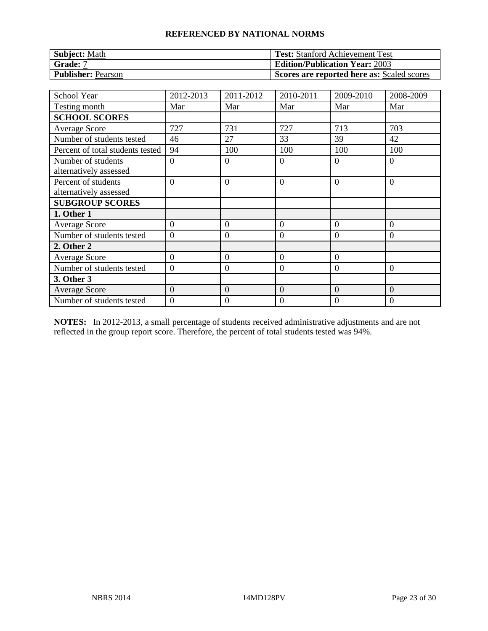| <b>Subject: Math</b>      | <b>Test:</b> Stanford Achievement Test     |
|---------------------------|--------------------------------------------|
| Grade: 7                  | <b>Edition/Publication Year: 2003</b>      |
| <b>Publisher: Pearson</b> | Scores are reported here as: Scaled scores |

| <b>School Year</b>               | 2012-2013      | 2011-2012        | 2010-2011        | 2009-2010      | 2008-2009      |
|----------------------------------|----------------|------------------|------------------|----------------|----------------|
| Testing month                    | Mar            | Mar              | Mar              | Mar            | Mar            |
| <b>SCHOOL SCORES</b>             |                |                  |                  |                |                |
| <b>Average Score</b>             | 727            | 731              | 727              | 713            | 703            |
| Number of students tested        | 46             | 27               | 33               | 39             | 42             |
| Percent of total students tested | 94             | 100              | 100              | 100            | 100            |
| Number of students               | $\overline{0}$ | $\overline{0}$   | $\overline{0}$   | $\Omega$       | $\overline{0}$ |
| alternatively assessed           |                |                  |                  |                |                |
| Percent of students              | $\overline{0}$ | $\overline{0}$   | $\overline{0}$   | $\Omega$       | $\overline{0}$ |
| alternatively assessed           |                |                  |                  |                |                |
| <b>SUBGROUP SCORES</b>           |                |                  |                  |                |                |
| 1. Other 1                       |                |                  |                  |                |                |
| <b>Average Score</b>             | $\theta$       | $\boldsymbol{0}$ | $\mathbf{0}$     | $\Omega$       | $\theta$       |
| Number of students tested        | $\theta$       | $\overline{0}$   | $\overline{0}$   | $\Omega$       | $\Omega$       |
| 2. Other 2                       |                |                  |                  |                |                |
| <b>Average Score</b>             | $\overline{0}$ | $\overline{0}$   | $\overline{0}$   | $\overline{0}$ |                |
| Number of students tested        | $\overline{0}$ | $\boldsymbol{0}$ | $\mathbf{0}$     | $\theta$       | $\overline{0}$ |
| 3. Other 3                       |                |                  |                  |                |                |
| <b>Average Score</b>             | $\overline{0}$ | $\overline{0}$   | $\overline{0}$   | $\overline{0}$ | $\overline{0}$ |
| Number of students tested        | $\theta$       | 0                | $\boldsymbol{0}$ | 0              | 0              |

**NOTES:** In 2012-2013, a small percentage of students received administrative adjustments and are not reflected in the group report score. Therefore, the percent of total students tested was 94%.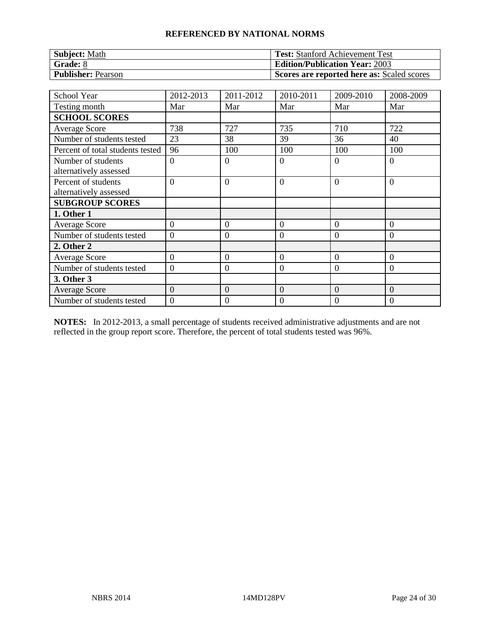| <b>Subject: Math</b>      | <b>Test:</b> Stanford Achievement Test     |
|---------------------------|--------------------------------------------|
| $\blacksquare$ Grade: 8   | <b>Edition/Publication Year: 2003</b>      |
| <b>Publisher: Pearson</b> | Scores are reported here as: Scaled scores |

| <b>School Year</b>                            | 2012-2013      | 2011-2012        | 2010-2011        | 2009-2010      | 2008-2009      |
|-----------------------------------------------|----------------|------------------|------------------|----------------|----------------|
| Testing month                                 | Mar            | Mar              | Mar              | Mar            | Mar            |
| <b>SCHOOL SCORES</b>                          |                |                  |                  |                |                |
| <b>Average Score</b>                          | 738            | 727              | 735              | 710            | 722            |
| Number of students tested                     | 23             | 38               | 39               | 36             | 40             |
| Percent of total students tested              | 96             | 100              | 100              | 100            | 100            |
| Number of students                            | $\overline{0}$ | $\overline{0}$   | $\overline{0}$   | $\Omega$       | $\overline{0}$ |
| alternatively assessed                        |                |                  |                  |                |                |
| Percent of students<br>alternatively assessed | $\overline{0}$ | $\overline{0}$   | $\overline{0}$   | $\Omega$       | $\overline{0}$ |
| <b>SUBGROUP SCORES</b>                        |                |                  |                  |                |                |
| 1. Other 1                                    |                |                  |                  |                |                |
| <b>Average Score</b>                          | $\theta$       | $\boldsymbol{0}$ | $\mathbf{0}$     | $\Omega$       | $\overline{0}$ |
| Number of students tested                     | $\theta$       | $\overline{0}$   | $\overline{0}$   | $\Omega$       | $\Omega$       |
| 2. Other 2                                    |                |                  |                  |                |                |
| <b>Average Score</b>                          | $\overline{0}$ | $\overline{0}$   | $\overline{0}$   | $\overline{0}$ | $\overline{0}$ |
| Number of students tested                     | $\overline{0}$ | $\boldsymbol{0}$ | $\mathbf{0}$     | $\theta$       | $\overline{0}$ |
| 3. Other 3                                    |                |                  |                  |                |                |
| <b>Average Score</b>                          | $\overline{0}$ | $\overline{0}$   | $\overline{0}$   | $\overline{0}$ | $\overline{0}$ |
| Number of students tested                     | $\theta$       | 0                | $\boldsymbol{0}$ | 0              | 0              |

**NOTES:** In 2012-2013, a small percentage of students received administrative adjustments and are not reflected in the group report score. Therefore, the percent of total students tested was 96%.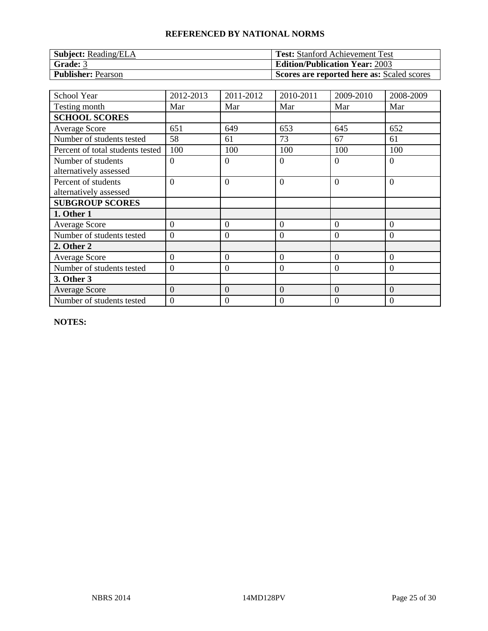| <b>Subject:</b> Reading/ELA | <b>Test:</b> Stanford Achievement Test     |
|-----------------------------|--------------------------------------------|
| Grade: 3                    | <b>Edition/Publication Year: 2003</b>      |
| <b>Publisher: Pearson</b>   | Scores are reported here as: Scaled scores |

| School Year                                   | 2012-2013      | 2011-2012        | 2010-2011      | 2009-2010      | 2008-2009      |
|-----------------------------------------------|----------------|------------------|----------------|----------------|----------------|
| Testing month                                 | Mar            | Mar              | Mar            | Mar            | Mar            |
| <b>SCHOOL SCORES</b>                          |                |                  |                |                |                |
| <b>Average Score</b>                          | 651            | 649              | 653            | 645            | 652            |
| Number of students tested                     | 58             | 61               | 73             | 67             | 61             |
| Percent of total students tested              | 100            | 100              | 100            | 100            | 100            |
| Number of students                            | $\Omega$       | $\Omega$         | $\overline{0}$ | $\Omega$       | $\overline{0}$ |
| alternatively assessed                        |                |                  |                |                |                |
| Percent of students<br>alternatively assessed | $\Omega$       | $\overline{0}$   | $\theta$       | $\Omega$       | $\overline{0}$ |
| <b>SUBGROUP SCORES</b>                        |                |                  |                |                |                |
| 1. Other 1                                    |                |                  |                |                |                |
| <b>Average Score</b>                          | $\theta$       | $\theta$         | $\overline{0}$ | $\Omega$       | $\theta$       |
| Number of students tested                     | $\theta$       | $\mathbf{0}$     | $\overline{0}$ | $\Omega$       | $\overline{0}$ |
| 2. Other 2                                    |                |                  |                |                |                |
| <b>Average Score</b>                          | $\overline{0}$ | $\boldsymbol{0}$ | $\overline{0}$ | $\overline{0}$ | $\overline{0}$ |
| Number of students tested                     | $\overline{0}$ | $\mathbf{0}$     | $\mathbf{0}$   | $\overline{0}$ | $\overline{0}$ |
| 3. Other 3                                    |                |                  |                |                |                |
| <b>Average Score</b>                          | $\overline{0}$ | $\overline{0}$   | $\overline{0}$ | $\Omega$       | $\overline{0}$ |
| Number of students tested                     | $\overline{0}$ | 0                | $\mathbf{0}$   | 0              | $\theta$       |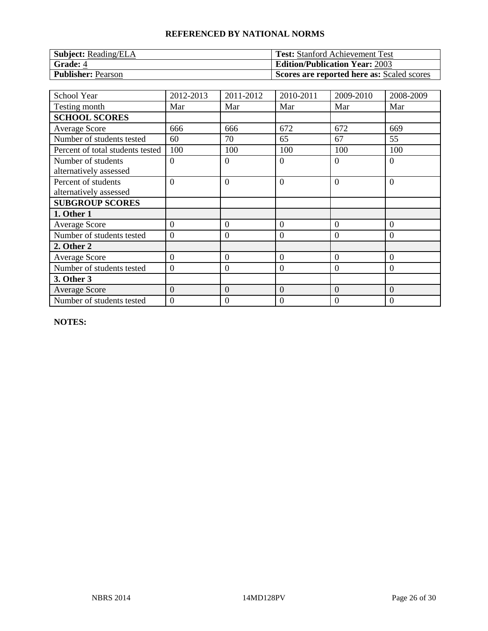| <b>Subject:</b> Reading/ELA | <b>Test:</b> Stanford Achievement Test     |
|-----------------------------|--------------------------------------------|
| Grade: 4                    | <b>Edition/Publication Year: 2003</b>      |
| <b>Publisher: Pearson</b>   | Scores are reported here as: Scaled scores |

| School Year                      | 2012-2013        | 2011-2012        | 2010-2011      | 2009-2010      | 2008-2009      |
|----------------------------------|------------------|------------------|----------------|----------------|----------------|
| Testing month                    | Mar              | Mar              | Mar            | Mar            | Mar            |
| <b>SCHOOL SCORES</b>             |                  |                  |                |                |                |
| Average Score                    | 666              | 666              | 672            | 672            | 669            |
| Number of students tested        | 60               | 70               | 65             | 67             | 55             |
| Percent of total students tested | 100              | 100              | 100            | 100            | 100            |
| Number of students               | $\Omega$         | $\overline{0}$   | $\overline{0}$ | $\Omega$       | $\Omega$       |
| alternatively assessed           |                  |                  |                |                |                |
| Percent of students              | $\theta$         | $\overline{0}$   | $\overline{0}$ | $\Omega$       | $\overline{0}$ |
| alternatively assessed           |                  |                  |                |                |                |
| <b>SUBGROUP SCORES</b>           |                  |                  |                |                |                |
| 1. Other 1                       |                  |                  |                |                |                |
| <b>Average Score</b>             | $\theta$         | $\mathbf{0}$     | $\mathbf{0}$   | $\Omega$       | $\overline{0}$ |
| Number of students tested        | $\theta$         | $\boldsymbol{0}$ | $\mathbf{0}$   | $\Omega$       | $\overline{0}$ |
| 2. Other 2                       |                  |                  |                |                |                |
| <b>Average Score</b>             | $\boldsymbol{0}$ | $\boldsymbol{0}$ | $\mathbf{0}$   | $\overline{0}$ | $\overline{0}$ |
| Number of students tested        | $\overline{0}$   | $\boldsymbol{0}$ | $\mathbf{0}$   | $\overline{0}$ | $\overline{0}$ |
| 3. Other 3                       |                  |                  |                |                |                |
| <b>Average Score</b>             | $\overline{0}$   | $\overline{0}$   | $\overline{0}$ | $\theta$       | $\overline{0}$ |
| Number of students tested        | $\overline{0}$   | 0                | $\mathbf{0}$   | 0              | $\theta$       |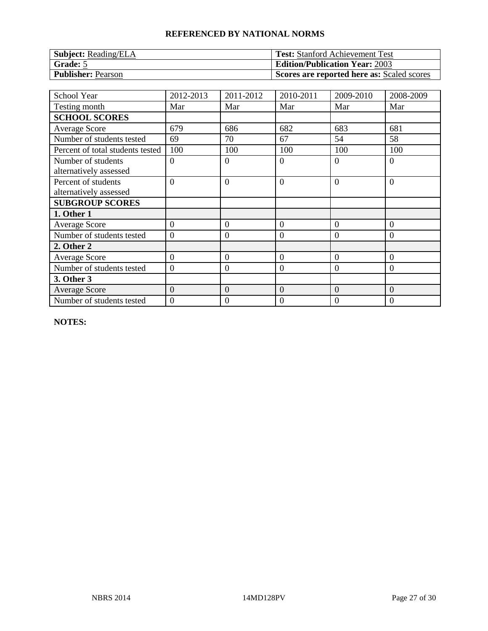| <b>Subject:</b> Reading/ELA | <b>Test:</b> Stanford Achievement Test     |
|-----------------------------|--------------------------------------------|
| Grade: 5                    | <b>Edition/Publication Year: 2003</b>      |
| <b>Publisher: Pearson</b>   | Scores are reported here as: Scaled scores |

| School Year                                   | 2012-2013      | 2011-2012        | 2010-2011      | 2009-2010      | 2008-2009      |
|-----------------------------------------------|----------------|------------------|----------------|----------------|----------------|
| Testing month                                 | Mar            | Mar              | Mar            | Mar            | Mar            |
| <b>SCHOOL SCORES</b>                          |                |                  |                |                |                |
| <b>Average Score</b>                          | 679            | 686              | 682            | 683            | 681            |
| Number of students tested                     | 69             | 70               | 67             | 54             | 58             |
| Percent of total students tested              | 100            | 100              | 100            | 100            | 100            |
| Number of students                            | $\Omega$       | $\Omega$         | $\overline{0}$ | $\Omega$       | $\overline{0}$ |
| alternatively assessed                        |                |                  |                |                |                |
| Percent of students<br>alternatively assessed | $\Omega$       | $\overline{0}$   | $\theta$       | $\Omega$       | $\overline{0}$ |
| <b>SUBGROUP SCORES</b>                        |                |                  |                |                |                |
| 1. Other 1                                    |                |                  |                |                |                |
| <b>Average Score</b>                          | $\theta$       | $\theta$         | $\overline{0}$ | $\Omega$       | $\theta$       |
| Number of students tested                     | $\theta$       | $\mathbf{0}$     | $\theta$       | $\Omega$       | $\overline{0}$ |
| 2. Other 2                                    |                |                  |                |                |                |
| <b>Average Score</b>                          | $\overline{0}$ | $\boldsymbol{0}$ | $\overline{0}$ | $\overline{0}$ | $\overline{0}$ |
| Number of students tested                     | $\overline{0}$ | $\mathbf{0}$     | $\mathbf{0}$   | $\overline{0}$ | $\overline{0}$ |
| 3. Other 3                                    |                |                  |                |                |                |
| <b>Average Score</b>                          | $\overline{0}$ | $\overline{0}$   | $\overline{0}$ | $\Omega$       | $\overline{0}$ |
| Number of students tested                     | $\overline{0}$ | 0                | $\mathbf{0}$   | 0              | $\theta$       |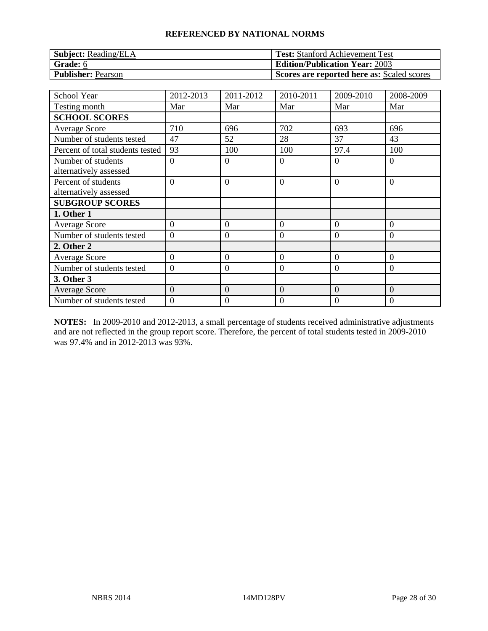| <b>Subject:</b> Reading/ELA | <b>Test:</b> Stanford Achievement Test     |
|-----------------------------|--------------------------------------------|
| Grade: 6                    | <b>Edition/Publication Year: 2003</b>      |
| <b>Publisher: Pearson</b>   | Scores are reported here as: Scaled scores |

| <b>School Year</b>               | 2012-2013      | 2011-2012        | 2010-2011        | 2009-2010      | 2008-2009      |
|----------------------------------|----------------|------------------|------------------|----------------|----------------|
| Testing month                    | Mar            | Mar              | Mar              | Mar            | Mar            |
| <b>SCHOOL SCORES</b>             |                |                  |                  |                |                |
| <b>Average Score</b>             | 710            | 696              | 702              | 693            | 696            |
| Number of students tested        | 47             | 52               | 28               | 37             | 43             |
| Percent of total students tested | 93             | 100              | 100              | 97.4           | 100            |
| Number of students               | $\overline{0}$ | $\overline{0}$   | $\overline{0}$   | $\Omega$       | $\overline{0}$ |
| alternatively assessed           |                |                  |                  |                |                |
| Percent of students              | $\overline{0}$ | $\overline{0}$   | $\overline{0}$   | $\Omega$       | $\overline{0}$ |
| alternatively assessed           |                |                  |                  |                |                |
| <b>SUBGROUP SCORES</b>           |                |                  |                  |                |                |
| 1. Other 1                       |                |                  |                  |                |                |
| <b>Average Score</b>             | $\overline{0}$ | $\boldsymbol{0}$ | $\boldsymbol{0}$ | $\overline{0}$ | $\overline{0}$ |
| Number of students tested        | $\overline{0}$ | $\overline{0}$   | $\overline{0}$   | $\Omega$       | $\Omega$       |
| 2. Other 2                       |                |                  |                  |                |                |
| <b>Average Score</b>             | $\overline{0}$ | $\overline{0}$   | $\overline{0}$   | $\overline{0}$ | $\overline{0}$ |
| Number of students tested        | $\overline{0}$ | $\boldsymbol{0}$ | $\boldsymbol{0}$ | $\overline{0}$ | $\overline{0}$ |
| 3. Other 3                       |                |                  |                  |                |                |
| <b>Average Score</b>             | $\overline{0}$ | $\overline{0}$   | $\overline{0}$   | $\overline{0}$ | $\overline{0}$ |
| Number of students tested        | $\Omega$       | 0                | $\mathbf{0}$     | 0              | $\theta$       |

**NOTES:** In 2009-2010 and 2012-2013, a small percentage of students received administrative adjustments and are not reflected in the group report score. Therefore, the percent of total students tested in 2009-2010 was 97.4% and in 2012-2013 was 93%.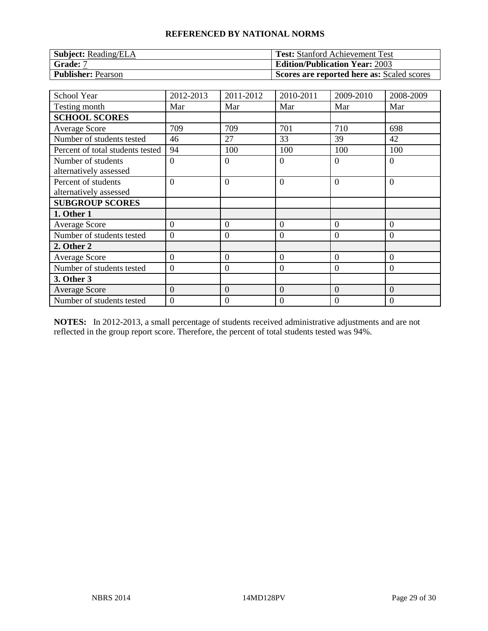| <b>Subject:</b> Reading/ELA | <b>Test:</b> Stanford Achievement Test     |
|-----------------------------|--------------------------------------------|
| Grade: 7                    | <b>Edition/Publication Year: 2003</b>      |
| <b>Publisher: Pearson</b>   | Scores are reported here as: Scaled scores |

| <b>School Year</b>               | 2012-2013      | 2011-2012        | 2010-2011        | 2009-2010      | 2008-2009      |
|----------------------------------|----------------|------------------|------------------|----------------|----------------|
| Testing month                    | Mar            | Mar              | Mar              | Mar            | Mar            |
| <b>SCHOOL SCORES</b>             |                |                  |                  |                |                |
| <b>Average Score</b>             | 709            | 709              | 701              | 710            | 698            |
| Number of students tested        | 46             | 27               | 33               | 39             | 42             |
| Percent of total students tested | 94             | 100              | 100              | 100            | 100            |
| Number of students               | $\overline{0}$ | $\overline{0}$   | $\overline{0}$   | $\Omega$       | $\overline{0}$ |
| alternatively assessed           |                |                  |                  |                |                |
| Percent of students              | $\overline{0}$ | $\overline{0}$   | $\overline{0}$   | $\Omega$       | $\overline{0}$ |
| alternatively assessed           |                |                  |                  |                |                |
| <b>SUBGROUP SCORES</b>           |                |                  |                  |                |                |
| 1. Other 1                       |                |                  |                  |                |                |
| <b>Average Score</b>             | $\theta$       | $\boldsymbol{0}$ | $\mathbf{0}$     | $\Omega$       | $\overline{0}$ |
| Number of students tested        | $\theta$       | $\overline{0}$   | $\overline{0}$   | $\Omega$       | $\Omega$       |
| 2. Other 2                       |                |                  |                  |                |                |
| <b>Average Score</b>             | $\overline{0}$ | $\overline{0}$   | $\theta$         | $\theta$       | $\overline{0}$ |
| Number of students tested        | $\theta$       | $\boldsymbol{0}$ | $\mathbf{0}$     | $\theta$       | $\overline{0}$ |
| 3. Other 3                       |                |                  |                  |                |                |
| <b>Average Score</b>             | $\overline{0}$ | $\overline{0}$   | $\overline{0}$   | $\overline{0}$ | $\overline{0}$ |
| Number of students tested        | $\theta$       | 0                | $\boldsymbol{0}$ | 0              | 0              |

**NOTES:** In 2012-2013, a small percentage of students received administrative adjustments and are not reflected in the group report score. Therefore, the percent of total students tested was 94%.